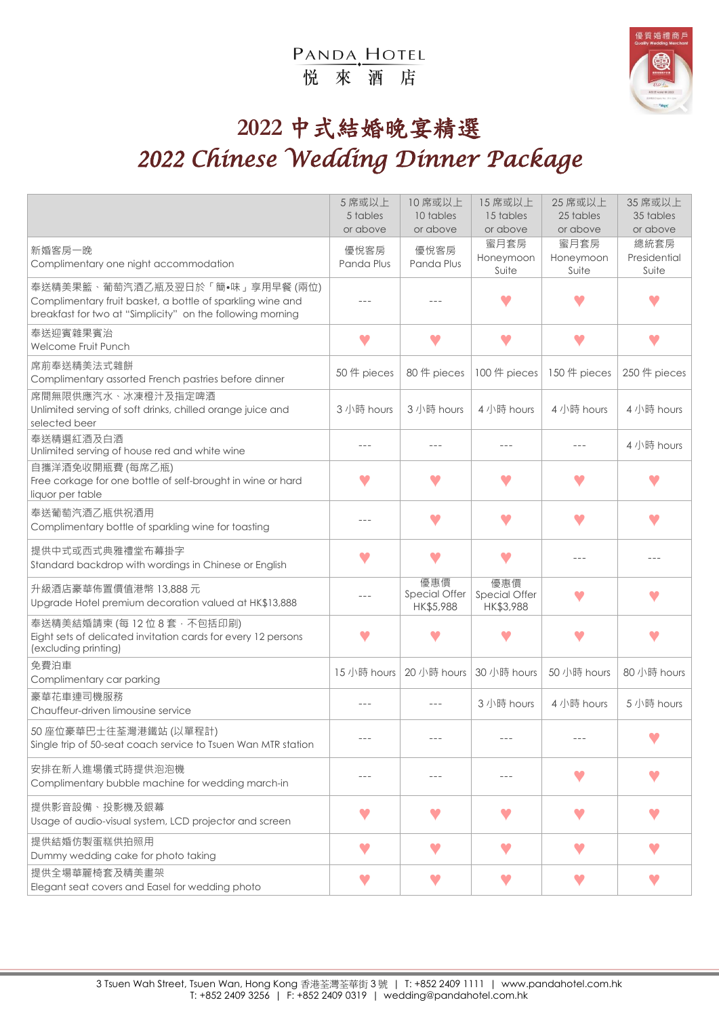### PANDA, HOTEL 悦來酒店



# **2022** 中式結婚晚宴精選 *2022 Chinese Wedding Dinner Package*

|                                                                                                                                                             | 5 席或以上<br>5 tables<br>or above | 10 席或以上<br>10 tables<br>or above  | 15 席或以上<br>15 tables<br>or above  | 25 席或以上<br>25 tables<br>or above | 35 席或以上<br>35 tables<br>or above |
|-------------------------------------------------------------------------------------------------------------------------------------------------------------|--------------------------------|-----------------------------------|-----------------------------------|----------------------------------|----------------------------------|
| 新婚客房一晚<br>Complimentary one night accommodation                                                                                                             | 優悅客房<br>Panda Plus             | 優悅客房<br>Panda Plus                | 蜜月套房<br>Honeymoon<br>Suite        | 蜜月套房<br>Honeymoon<br>Suite       | 總統套房<br>Presidential<br>Suite    |
| 奉送精美果籃、葡萄汽酒乙瓶及翌日於「簡•味」享用早餐 (兩位)<br>Complimentary fruit basket, a bottle of sparkling wine and<br>breakfast for two at "Simplicity" on the following morning |                                |                                   |                                   |                                  |                                  |
| 奉送迎賓雜果賓治<br>Welcome Fruit Punch                                                                                                                             | w                              |                                   |                                   | v                                | v                                |
| 席前奉送精美法式雜餅<br>Complimentary assorted French pastries before dinner                                                                                          | 50件 pieces                     | 80件 pieces                        | 100件 pieces                       | 150 件 pieces                     | 250 件 pieces                     |
| 席間無限供應汽水、冰凍橙汁及指定啤酒<br>Unlimited serving of soft drinks, chilled orange juice and<br>selected beer                                                           | 3 小時 hours                     | 3 小時 hours                        | 4 小時 hours                        | 4 小時 hours                       | 4小時 hours                        |
| 奉送精選紅酒及白酒<br>Unlimited serving of house red and white wine                                                                                                  |                                |                                   |                                   |                                  | 4 小時 hours                       |
| 自攜洋酒免收開瓶費 (每席乙瓶)<br>Free corkage for one bottle of self-brought in wine or hard<br>liquor per table                                                         |                                |                                   |                                   |                                  |                                  |
| 奉送葡萄汽酒乙瓶供祝酒用<br>Complimentary bottle of sparkling wine for toasting                                                                                         |                                |                                   |                                   |                                  |                                  |
| 提供中式或西式典雅禮堂布幕掛字<br>Standard backdrop with wordings in Chinese or English                                                                                    | v                              |                                   |                                   | $- - -$                          |                                  |
| 升級酒店豪華佈置價值港幣 13,888元<br>Upgrade Hotel premium decoration valued at HK\$13,888                                                                               | $- - -$                        | 優惠價<br>Special Offer<br>HK\$5,988 | 優惠價<br>Special Offer<br>HK\$3,988 | v                                |                                  |
| 奉送精美結婚請柬 (每 12 位 8 套 · 不包括印刷)<br>Eight sets of delicated invitation cards for every 12 persons<br>(excluding printing)                                      |                                |                                   |                                   |                                  |                                  |
| 免費泊車<br>Complimentary car parking                                                                                                                           | 15 小時 hours                    | 20 小時 hours                       | 30 小時 hours                       | 50 小時 hours                      | 80 小時 hours                      |
| 豪華花車連司機服務<br>Chauffeur-driven limousine service                                                                                                             |                                |                                   | 3 小時 hours                        | 4 小時 hours                       | 5 小時 hours                       |
| 50 座位豪華巴士往荃灣港鐵站 (以單程計)<br>Single trip of 50-seat coach service to Tsuen Wan MTR station                                                                     |                                |                                   |                                   |                                  |                                  |
| 安排在新人進場儀式時提供泡泡機<br>Complimentary bubble machine for wedding march-in                                                                                        |                                |                                   |                                   |                                  |                                  |
| 提供影音設備、投影機及銀幕<br>Usage of audio-visual system, LCD projector and screen                                                                                     | w                              | w                                 | w                                 |                                  |                                  |
| 提供結婚仿製蛋糕供拍照用<br>Dummy wedding cake for photo taking                                                                                                         | V                              | V                                 | v                                 |                                  |                                  |
| 提供全場華麗椅套及精美畫架<br>Elegant seat covers and Easel for wedding photo                                                                                            |                                |                                   |                                   |                                  |                                  |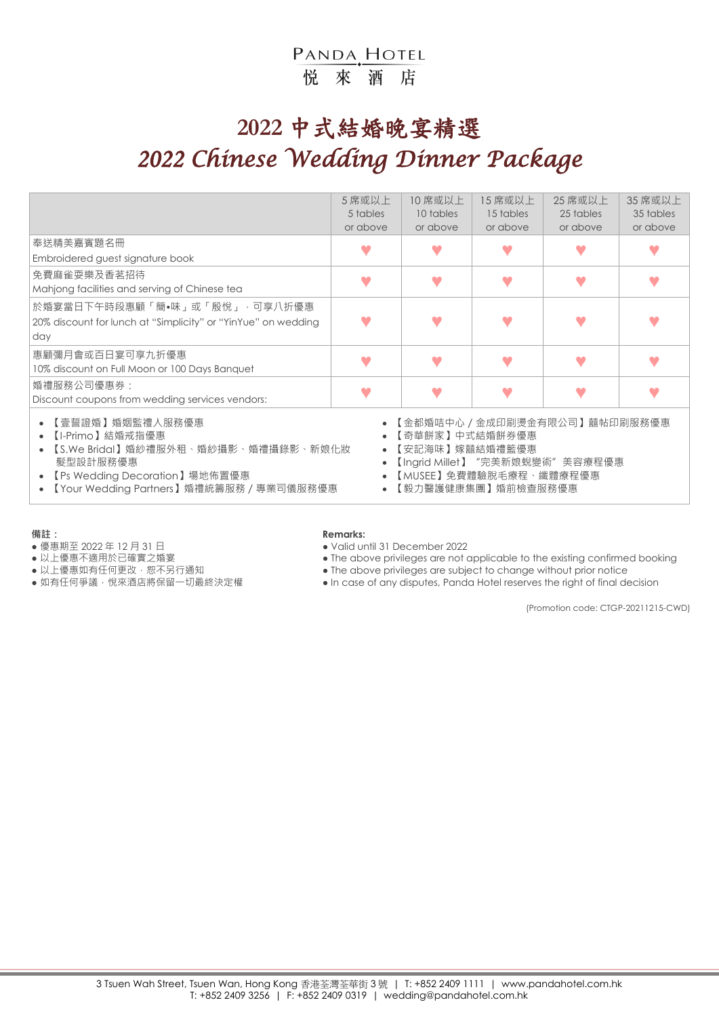#### PANDA HOTEL 悦來酒店

# **2022** 中式結婚晚宴精選 *2022 Chinese Wedding Dinner Package*

|                                                                                                                                                                                                                                                                                                                                          | 5 席或以上<br>5 tables<br>or above | 10 席或以上<br>10 tables<br>or above | 15 席或以上<br>15 tables<br>or above | 25 席或以上<br>25 tables<br>or above | 35 席或以上<br>35 tables<br>or above |  |  |
|------------------------------------------------------------------------------------------------------------------------------------------------------------------------------------------------------------------------------------------------------------------------------------------------------------------------------------------|--------------------------------|----------------------------------|----------------------------------|----------------------------------|----------------------------------|--|--|
| 奉送精美嘉賓題名冊<br>Embroidered guest signature book                                                                                                                                                                                                                                                                                            |                                |                                  |                                  |                                  |                                  |  |  |
| 免費麻雀耍樂及香茗招待<br>Mahjong facilities and serving of Chinese tea                                                                                                                                                                                                                                                                             |                                |                                  |                                  |                                  |                                  |  |  |
| 於婚宴當日下午時段惠顧「簡•味」或「殷悅」,可享八折優惠<br>20% discount for lunch at "Simplicity" or "YinYue" on wedding<br>day                                                                                                                                                                                                                                     |                                |                                  |                                  |                                  |                                  |  |  |
| 惠顧彌月會或百日宴可享九折優惠<br>10% discount on Full Moon or 100 Days Banquet                                                                                                                                                                                                                                                                         |                                |                                  |                                  |                                  |                                  |  |  |
| 婚禮服務公司優惠券:<br>Discount coupons from wedding services vendors:                                                                                                                                                                                                                                                                            |                                |                                  |                                  |                                  |                                  |  |  |
| 【壹誓證婚】婚姻監禮人服務優惠<br>【金都婚咭中心 / 金成印刷燙金有限公司 】 囍帖印刷服務優惠<br>【I-Primo】結婚戒指優惠<br>【奇華餅家】中式結婚餅券優惠<br>【S.We Bridal】婚紗禮服外租、婚紗攝影、婚禮攝錄影、新娘化妝<br>【安記海味】嫁囍結婚禮籃優惠<br>$\bullet$<br>髮型設計服務優惠<br>【Ingrid Millet】"完美新娘蛻變術"美容療程優惠<br>【MUSEE】免費體驗脫毛療程、纖體療程優惠<br>【Ps Wedding Decoration】場地佈置優惠<br>【Your Wedding Partners】婚禮統籌服務 / 專業司儀服務優惠<br>【毅力醫護健康集團】婚前檢查服務優惠 |                                |                                  |                                  |                                  |                                  |  |  |

- 優惠期至 2022 年 12 月 31 日<br>● 以上優惠不適用於已確實之婚宴 The above privileges are not o
- 
- 
- 

#### **備註: Remarks:**

- 
- 以上優惠不適用於已確實之婚宴 The above privileges are not applicable to the existing confirmed booking<br>● 以上優惠如有任何更改 · 恕不另行通知 The above privileges are subject to change without prior notice
	- $\bullet$  The above privileges are subject to change without prior notice
- 如有任何爭議, 悅來酒店將保留一切最終決定權 → In case of any disputes, Panda Hotel reserves the right of final decision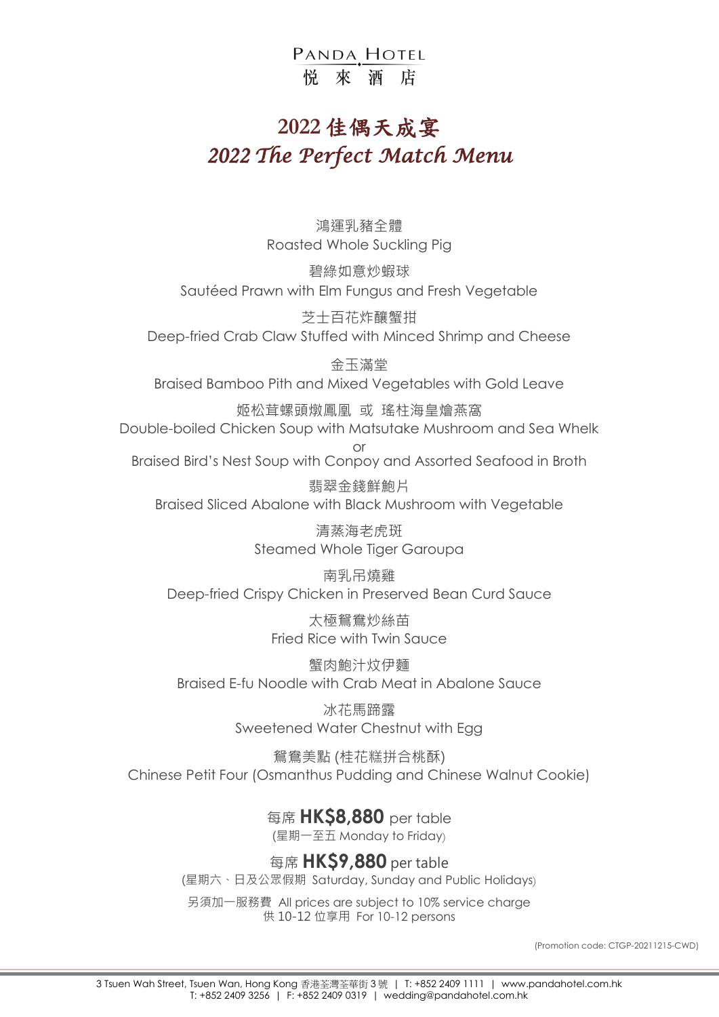#### PANDA HOTEL 悦 來 洒 店

### **2022** 佳偶天成宴 *2022 The Perfect Match Menu*

鴻運乳豬全體 Roasted Whole Suckling Pig

碧綠如意炒蝦球 Sautéed Prawn with Elm Fungus and Fresh Vegetable

芝士百花炸釀蟹拑 Deep-fried Crab Claw Stuffed with Minced Shrimp and Cheese

金玉滿堂 Braised Bamboo Pith and Mixed Vegetables with Gold Leave

姬松茸螺頭燉鳳凰 或 瑤柱海皇燴燕窩 Double-boiled Chicken Soup with Matsutake Mushroom and Sea Whelk or

Braised Bird's Nest Soup with Conpoy and Assorted Seafood in Broth

翡翠金錢鮮鮑片 Braised Sliced Abalone with Black Mushroom with Vegetable

> 清蒸海老虎斑 Steamed Whole Tiger Garoupa

南乳吊燒雞 Deep-fried Crispy Chicken in Preserved Bean Curd Sauce

> 太極鴛鴦炒絲苗 Fried Rice with Twin Sauce

蟹肉鮑汁炆伊麵 Braised E-fu Noodle with Crab Meat in Abalone Sauce

> 冰花馬蹄露 Sweetened Water Chestnut with Egg

鴛鴦美點 (桂花糕拼合桃酥) Chinese Petit Four (Osmanthus Pudding and Chinese Walnut Cookie)

> 每席 **HK\$8,880** per table (星期一至五 Monday to Friday)

每席 **HK\$9,880** per table (星期六、日及公眾假期Saturday, Sunday and Public Holidays)

另須加一服務費 All prices are subject to 10% service charge 供 10-12 位享用 For 10-12 persons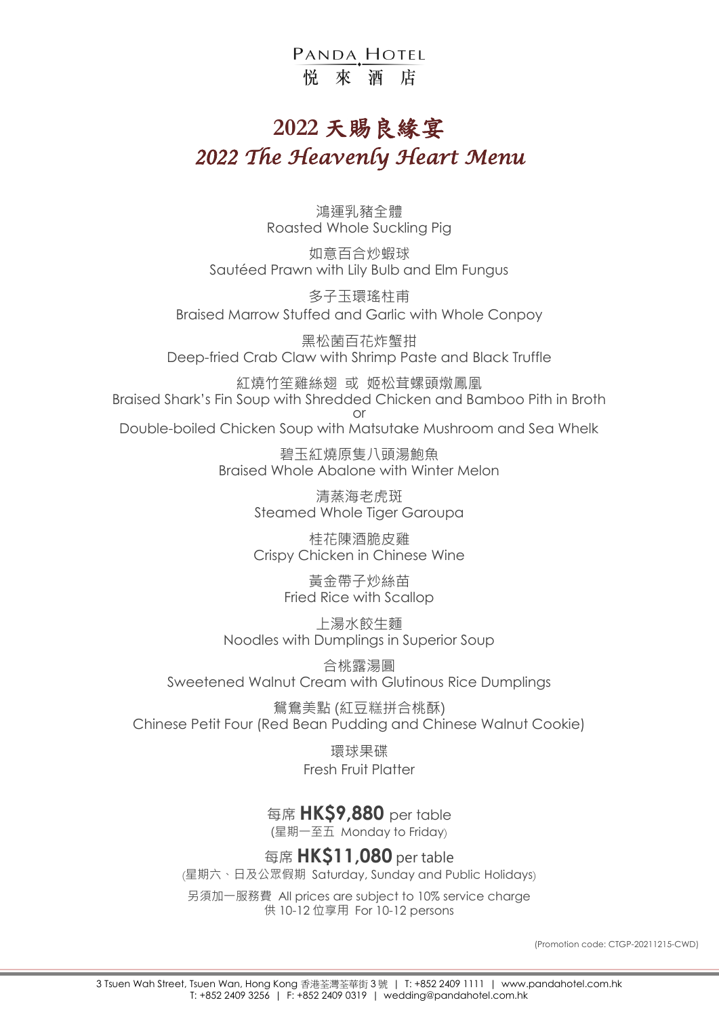PANDA HOTEL 悦 來 洒 店

## **2022** 天賜良緣宴 *2022 The Heavenly Heart Menu*

鴻運乳豬全體 Roasted Whole Suckling Pig

如意百合炒蝦球 Sautéed Prawn with Lily Bulb and Elm Fungus

多子玉環瑤柱甫 Braised Marrow Stuffed and Garlic with Whole Conpoy

黑松菌百花炸蟹拑 Deep-fried Crab Claw with Shrimp Paste and Black Truffle

紅燒竹笙雞絲翅 或 姬松茸螺頭燉鳳凰 Braised Shark's Fin Soup with Shredded Chicken and Bamboo Pith in Broth or

Double-boiled Chicken Soup with Matsutake Mushroom and Sea Whelk

碧玉紅燒原隻八頭湯鮑魚 Braised Whole Abalone with Winter Melon

> 清蒸海老虎斑 Steamed Whole Tiger Garoupa

> 桂花陳酒脆皮雞 Crispy Chicken in Chinese Wine

> > 黃金帶子炒絲苗 Fried Rice with Scallop

上湯水餃生麵 Noodles with Dumplings in Superior Soup

合桃露湯圓 Sweetened Walnut Cream with Glutinous Rice Dumplings

鴛鴦美點 (紅豆糕拼合桃酥) Chinese Petit Four (Red Bean Pudding and Chinese Walnut Cookie)

> 環球果碟 Fresh Fruit Platter

每席 **HK\$9,880** per table

(星期一至五Monday to Friday)

每席 **HK\$11,080** per table

(星期六、日及公眾假期Saturday, Sunday and Public Holidays)

另須加一服務費 All prices are subject to 10% service charge 供 10-12 位享用 For 10-12 persons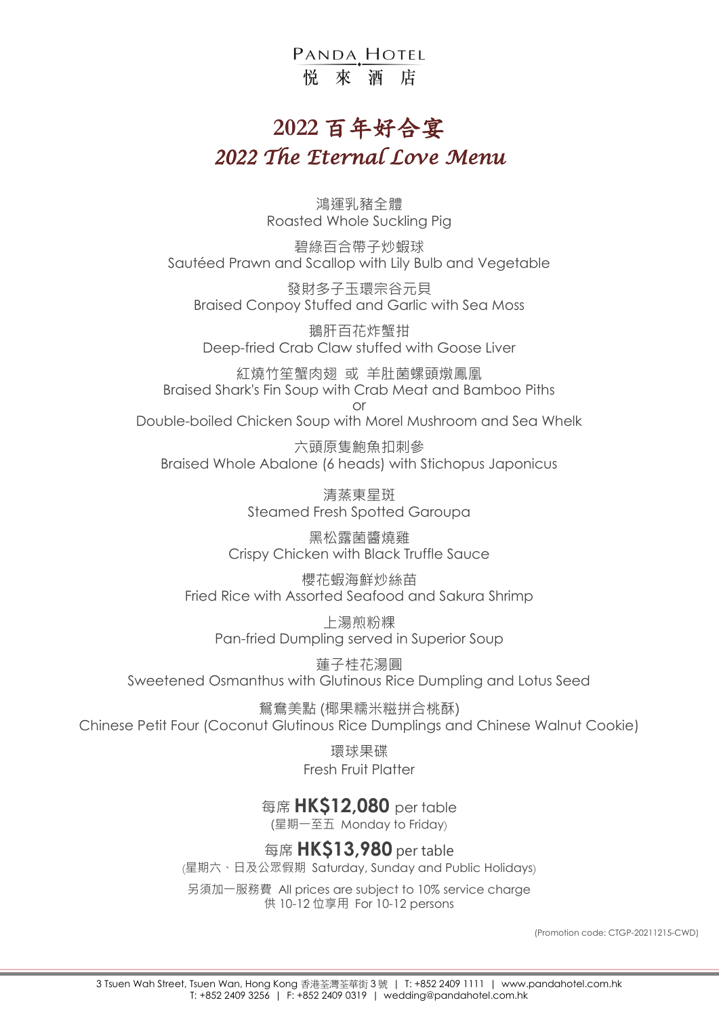PANDA HOTEL 悦 來 洒 店

## **2022** 百年好合宴 *2022 The Eternal Love Menu*

鴻運乳豬全體 Roasted Whole Suckling Pig

碧綠百合帶子炒蝦球 Sautéed Prawn and Scallop with Lily Bulb and Vegetable

發財多子玉環宗谷元貝 Braised Conpoy Stuffed and Garlic with Sea Moss

鵝肝百花炸蟹拑 Deep-fried Crab Claw stuffed with Goose Liver

紅燒竹笙蟹肉翅 或 羊肚菌螺頭燉鳳凰 Braised Shark's Fin Soup with Crab Meat and Bamboo Piths or

Double-boiled Chicken Soup with Morel Mushroom and Sea Whelk

六頭原隻鮑魚扣刺參 Braised Whole Abalone (6 heads) with Stichopus Japonicus

> 清蒸東星斑 Steamed Fresh Spotted Garoupa

黑松露菌醬燒雞 Crispy Chicken with Black Truffle Sauce

櫻花蝦海鮮炒絲苗 Fried Rice with Assorted Seafood and Sakura Shrimp

上湯煎粉粿 Pan-fried Dumpling served in Superior Soup

蓮子桂花湯圓 Sweetened Osmanthus with Glutinous Rice Dumpling and Lotus Seed

鴛鴦美點 (椰果糯米糍拼合桃酥) Chinese Petit Four (Coconut Glutinous Rice Dumplings and Chinese Walnut Cookie)

> 環球果碟 Fresh Fruit Platter

每席 **HK\$12,080** per table

(星期一至五 Monday to Friday)

每席 **HK\$13,980** per table

(星期六、日及公眾假期 Saturday, Sunday and Public Holidays)

另須加一服務費 All prices are subject to 10% service charge 供 10-12 位享用 For 10-12 persons